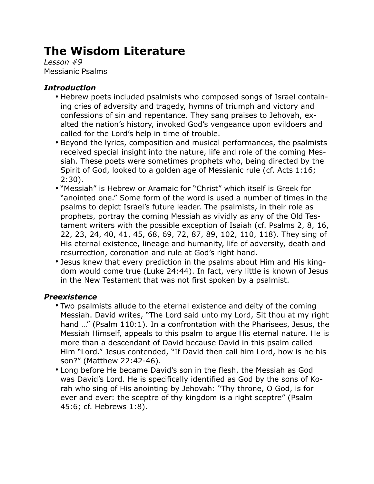# **The Wisdom Literature**

*Lesson #9* Messianic Psalms

### *Introduction*

- Hebrew poets included psalmists who composed songs of Israel containing cries of adversity and tragedy, hymns of triumph and victory and confessions of sin and repentance. They sang praises to Jehovah, exalted the nation's history, invoked God's vengeance upon evildoers and called for the Lord's help in time of trouble.
- Beyond the lyrics, composition and musical performances, the psalmists received special insight into the nature, life and role of the coming Messiah. These poets were sometimes prophets who, being directed by the Spirit of God, looked to a golden age of Messianic rule (cf. Acts 1:16; 2:30).
- "Messiah" is Hebrew or Aramaic for "Christ" which itself is Greek for "anointed one." Some form of the word is used a number of times in the psalms to depict Israel's future leader. The psalmists, in their role as prophets, portray the coming Messiah as vividly as any of the Old Testament writers with the possible exception of Isaiah (cf. Psalms 2, 8, 16, 22, 23, 24, 40, 41, 45, 68, 69, 72, 87, 89, 102, 110, 118). They sing of His eternal existence, lineage and humanity, life of adversity, death and resurrection, coronation and rule at God's right hand.
- Jesus knew that every prediction in the psalms about Him and His kingdom would come true (Luke 24:44). In fact, very little is known of Jesus in the New Testament that was not first spoken by a psalmist.

#### *Preexistence*

- Two psalmists allude to the eternal existence and deity of the coming Messiah. David writes, "The Lord said unto my Lord, Sit thou at my right hand …" (Psalm 110:1). In a confrontation with the Pharisees, Jesus, the Messiah Himself, appeals to this psalm to argue His eternal nature. He is more than a descendant of David because David in this psalm called Him "Lord." Jesus contended, "If David then call him Lord, how is he his son?" (Matthew 22:42-46).
- Long before He became David's son in the flesh, the Messiah as God was David's Lord. He is specifically identified as God by the sons of Korah who sing of His anointing by Jehovah: "Thy throne, O God, is for ever and ever: the sceptre of thy kingdom is a right sceptre" (Psalm 45:6; cf. Hebrews 1:8).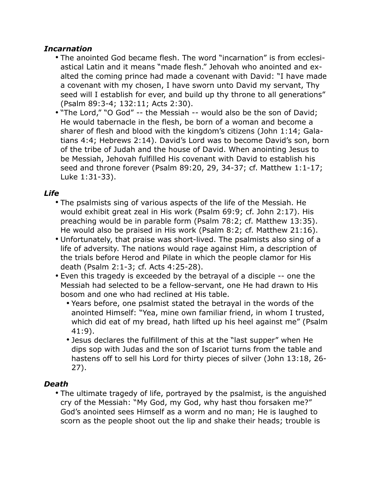### *Incarnation*

- The anointed God became flesh. The word "incarnation" is from ecclesiastical Latin and it means "made flesh." Jehovah who anointed and exalted the coming prince had made a covenant with David: "I have made a covenant with my chosen, I have sworn unto David my servant, Thy seed will I establish for ever, and build up thy throne to all generations" (Psalm 89:3-4; 132:11; Acts 2:30).
- "The Lord," "O God" -- the Messiah -- would also be the son of David; He would tabernacle in the flesh, be born of a woman and become a sharer of flesh and blood with the kingdom's citizens (John 1:14; Galatians 4:4; Hebrews 2:14). David's Lord was to become David's son, born of the tribe of Judah and the house of David. When anointing Jesus to be Messiah, Jehovah fulfilled His covenant with David to establish his seed and throne forever (Psalm 89:20, 29, 34-37; cf. Matthew 1:1-17; Luke 1:31-33).

## *Life*

- The psalmists sing of various aspects of the life of the Messiah. He would exhibit great zeal in His work (Psalm 69:9; cf. John 2:17). His preaching would be in parable form (Psalm 78:2; cf. Matthew 13:35). He would also be praised in His work (Psalm 8:2; cf. Matthew 21:16).
- Unfortunately, that praise was short-lived. The psalmists also sing of a life of adversity. The nations would rage against Him, a description of the trials before Herod and Pilate in which the people clamor for His death (Psalm 2:1-3; cf. Acts 4:25-28).
- Even this tragedy is exceeded by the betrayal of a disciple -- one the Messiah had selected to be a fellow-servant, one He had drawn to His bosom and one who had reclined at His table.
	- Years before, one psalmist stated the betrayal in the words of the anointed Himself: "Yea, mine own familiar friend, in whom I trusted, which did eat of my bread, hath lifted up his heel against me" (Psalm 41:9).
	- Jesus declares the fulfillment of this at the "last supper" when He dips sop with Judas and the son of Iscariot turns from the table and hastens off to sell his Lord for thirty pieces of silver (John 13:18, 26- 27).

## *Death*

• The ultimate tragedy of life, portrayed by the psalmist, is the anguished cry of the Messiah: "My God, my God, why hast thou forsaken me?" God's anointed sees Himself as a worm and no man; He is laughed to scorn as the people shoot out the lip and shake their heads; trouble is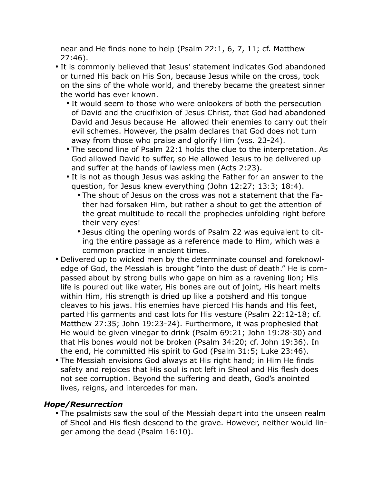near and He finds none to help (Psalm 22:1, 6, 7, 11; cf. Matthew 27:46).

- It is commonly believed that Jesus' statement indicates God abandoned or turned His back on His Son, because Jesus while on the cross, took on the sins of the whole world, and thereby became the greatest sinner the world has ever known.
	- It would seem to those who were onlookers of both the persecution of David and the crucifixion of Jesus Christ, that God had abandoned David and Jesus because He allowed their enemies to carry out their evil schemes. However, the psalm declares that God does not turn away from those who praise and glorify Him (vss. 23-24).
	- The second line of Psalm 22:1 holds the clue to the interpretation. As God allowed David to suffer, so He allowed Jesus to be delivered up and suffer at the hands of lawless men (Acts 2:23).
	- It is not as though Jesus was asking the Father for an answer to the question, for Jesus knew everything (John 12:27; 13:3; 18:4).
		- The shout of Jesus on the cross was not a statement that the Father had forsaken Him, but rather a shout to get the attention of the great multitude to recall the prophecies unfolding right before their very eyes!
		- Jesus citing the opening words of Psalm 22 was equivalent to citing the entire passage as a reference made to Him, which was a common practice in ancient times.
- Delivered up to wicked men by the determinate counsel and foreknowledge of God, the Messiah is brought "into the dust of death." He is compassed about by strong bulls who gape on him as a ravening lion; His life is poured out like water, His bones are out of joint, His heart melts within Him, His strength is dried up like a potsherd and His tongue cleaves to his jaws. His enemies have pierced His hands and His feet, parted His garments and cast lots for His vesture (Psalm 22:12-18; cf. Matthew 27:35; John 19:23-24). Furthermore, it was prophesied that He would be given vinegar to drink (Psalm 69:21; John 19:28-30) and that His bones would not be broken (Psalm 34:20; cf. John 19:36). In the end, He committed His spirit to God (Psalm 31:5; Luke 23:46).
- The Messiah envisions God always at His right hand; in Him He finds safety and rejoices that His soul is not left in Sheol and His flesh does not see corruption. Beyond the suffering and death, God's anointed lives, reigns, and intercedes for man.

#### *Hope/Resurrection*

• The psalmists saw the soul of the Messiah depart into the unseen realm of Sheol and His flesh descend to the grave. However, neither would linger among the dead (Psalm 16:10).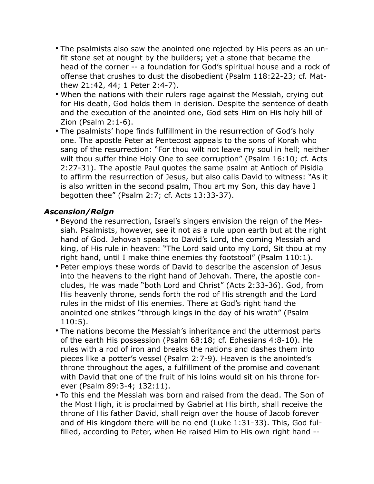- The psalmists also saw the anointed one rejected by His peers as an unfit stone set at nought by the builders; yet a stone that became the head of the corner -- a foundation for God's spiritual house and a rock of offense that crushes to dust the disobedient (Psalm 118:22-23; cf. Matthew 21:42, 44; 1 Peter 2:4-7).
- When the nations with their rulers rage against the Messiah, crying out for His death, God holds them in derision. Despite the sentence of death and the execution of the anointed one, God sets Him on His holy hill of Zion (Psalm 2:1-6).
- The psalmists' hope finds fulfillment in the resurrection of God's holy one. The apostle Peter at Pentecost appeals to the sons of Korah who sang of the resurrection: "For thou wilt not leave my soul in hell; neither wilt thou suffer thine Holy One to see corruption" (Psalm 16:10; cf. Acts 2:27-31). The apostle Paul quotes the same psalm at Antioch of Pisidia to affirm the resurrection of Jesus, but also calls David to witness: "As it is also written in the second psalm, Thou art my Son, this day have I begotten thee" (Psalm 2:7; cf. Acts 13:33-37).

#### *Ascension/Reign*

- Beyond the resurrection, Israel's singers envision the reign of the Messiah. Psalmists, however, see it not as a rule upon earth but at the right hand of God. Jehovah speaks to David's Lord, the coming Messiah and king, of His rule in heaven: "The Lord said unto my Lord, Sit thou at my right hand, until I make thine enemies thy footstool" (Psalm 110:1).
- Peter employs these words of David to describe the ascension of Jesus into the heavens to the right hand of Jehovah. There, the apostle concludes, He was made "both Lord and Christ" (Acts 2:33-36). God, from His heavenly throne, sends forth the rod of His strength and the Lord rules in the midst of His enemies. There at God's right hand the anointed one strikes "through kings in the day of his wrath" (Psalm 110:5).
- The nations become the Messiah's inheritance and the uttermost parts of the earth His possession (Psalm 68:18; cf. Ephesians 4:8-10). He rules with a rod of iron and breaks the nations and dashes them into pieces like a potter's vessel (Psalm 2:7-9). Heaven is the anointed's throne throughout the ages, a fulfillment of the promise and covenant with David that one of the fruit of his loins would sit on his throne forever (Psalm 89:3-4; 132:11).
- To this end the Messiah was born and raised from the dead. The Son of the Most High, it is proclaimed by Gabriel at His birth, shall receive the throne of His father David, shall reign over the house of Jacob forever and of His kingdom there will be no end (Luke 1:31-33). This, God fulfilled, according to Peter, when He raised Him to His own right hand --